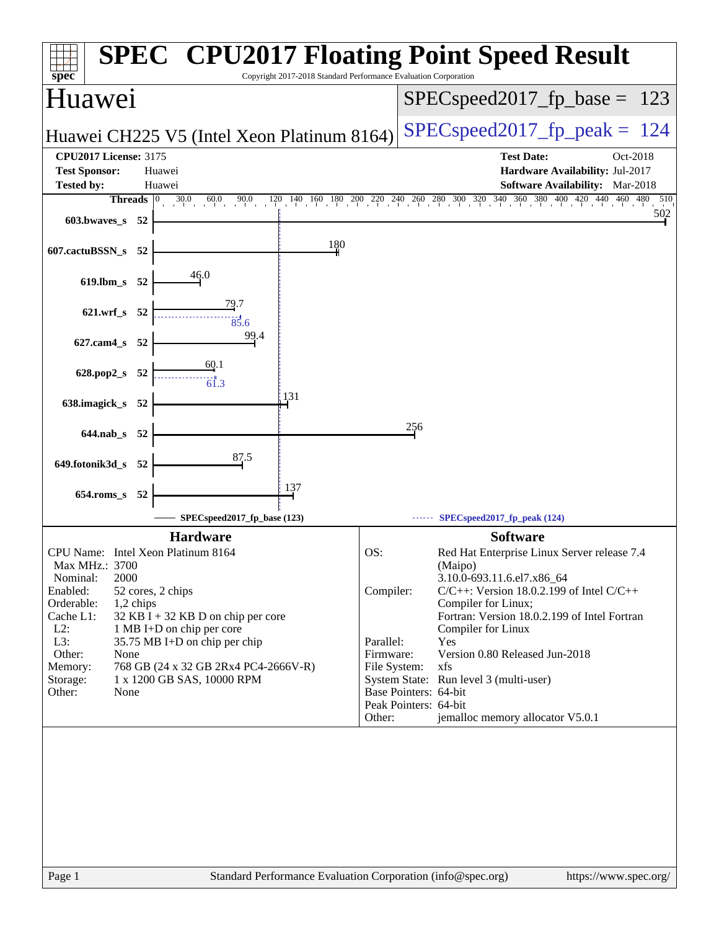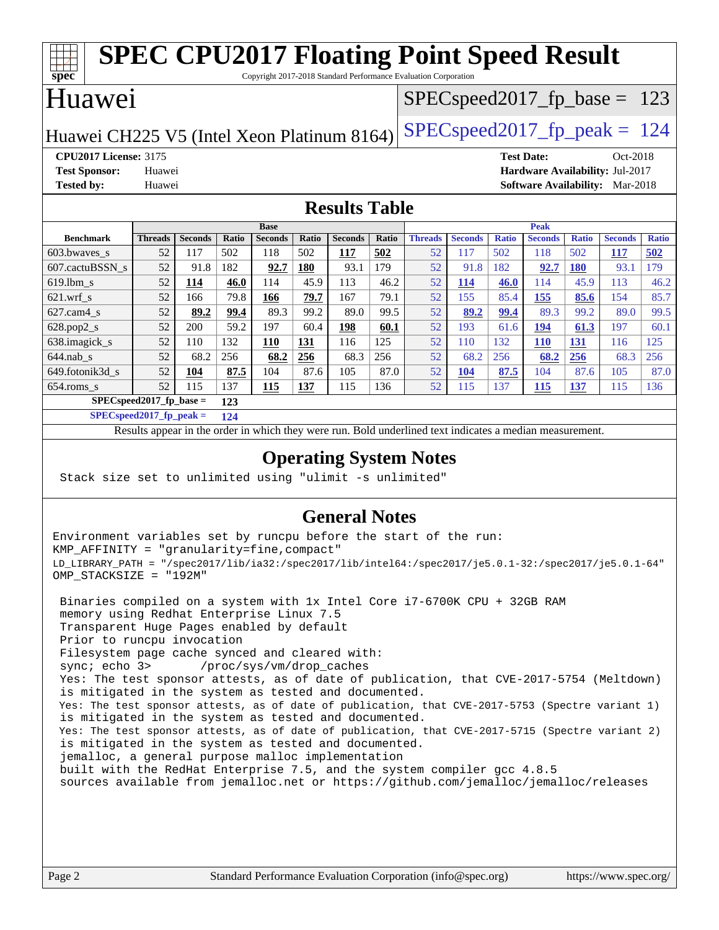| <b>SPEC CPU2017 Floating Point Speed Result</b><br>Copyright 2017-2018 Standard Performance Evaluation Corporation |                                                                      |                |              |                       |              |                |                                 |                      |                |              |                       |                     |                       |                     |
|--------------------------------------------------------------------------------------------------------------------|----------------------------------------------------------------------|----------------|--------------|-----------------------|--------------|----------------|---------------------------------|----------------------|----------------|--------------|-----------------------|---------------------|-----------------------|---------------------|
| $spec*$<br>Huawei                                                                                                  |                                                                      |                |              |                       |              |                | $SPEC speed2017_fp\_base = 123$ |                      |                |              |                       |                     |                       |                     |
| $SPEC speed2017_fp\_peak = 124$<br>Huawei CH225 V5 (Intel Xeon Platinum 8164)                                      |                                                                      |                |              |                       |              |                |                                 |                      |                |              |                       |                     |                       |                     |
| <b>CPU2017 License: 3175</b><br><b>Test Date:</b><br>Oct-2018                                                      |                                                                      |                |              |                       |              |                |                                 |                      |                |              |                       |                     |                       |                     |
| <b>Test Sponsor:</b><br>Hardware Availability: Jul-2017<br>Huawei                                                  |                                                                      |                |              |                       |              |                |                                 |                      |                |              |                       |                     |                       |                     |
| <b>Tested by:</b><br><b>Software Availability:</b> Mar-2018<br>Huawei                                              |                                                                      |                |              |                       |              |                |                                 |                      |                |              |                       |                     |                       |                     |
| <b>Results Table</b>                                                                                               |                                                                      |                |              |                       |              |                |                                 |                      |                |              |                       |                     |                       |                     |
| <b>Benchmark</b>                                                                                                   |                                                                      | <b>Seconds</b> |              | <b>Base</b>           |              | <b>Seconds</b> |                                 |                      | <b>Seconds</b> | <b>Ratio</b> | Peak                  |                     |                       |                     |
| 603.bwaves_s                                                                                                       | <b>Threads</b><br>52                                                 | 117            | Ratio<br>502 | <b>Seconds</b><br>118 | Ratio<br>502 | 117            | Ratio<br>502                    | <b>Threads</b><br>52 | 117            | 502          | <b>Seconds</b><br>118 | <b>Ratio</b><br>502 | <b>Seconds</b><br>117 | <b>Ratio</b><br>502 |
| 607.cactuBSSN s                                                                                                    | 52                                                                   | 91.8           | 182          | 92.7                  | 180          | 93.1           | 179                             | 52                   | 91.8           | 182          | 92.7                  | <b>180</b>          | 93.1                  | 179                 |
| 619.lbm s                                                                                                          | 52                                                                   | 114            | 46.0         | 114                   | 45.9         | 113            | 46.2                            | 52                   | 114            | 46.0         | 114                   | 45.9                | 113                   | 46.2                |
|                                                                                                                    | 52                                                                   | 166            | 79.8         | 166                   | 79.7         | 167            | 79.1                            | 52                   | 155            | 85.4         | 155                   | 85.6                | 154                   | 85.7                |
| $621.wrf$ <sub>S</sub><br>$627$ .cam $4 \text{ s}$                                                                 | 52                                                                   | 89.2           | 99.4         | 89.3                  | 99.2         | 89.0           | 99.5                            | 52                   | 89.2           | 99.4         | 89.3                  | 99.2                | 89.0                  | 99.5                |
| 628.pop2_s                                                                                                         | 52                                                                   | 200            | 59.2         | 197                   | 60.4         | 198            | 60.1                            | 52                   | 193            | 61.6         | 194                   | 61.3                | 197                   | 60.1                |
| 638.imagick_s                                                                                                      | 52                                                                   | 110            | 132          | <b>110</b>            | 131          | 116            | 125                             | 52                   | 110            | 132          | <b>110</b>            | 131                 | 116                   | 125                 |
| $644$ .nab s                                                                                                       | 52                                                                   | 68.2           | 256          | 68.2                  | 256          | 68.3           | 256                             | 52                   | 68.2           | 256          | 68.2                  | 256                 | 68.3                  | 256                 |
| 649.fotonik3d s                                                                                                    | 52                                                                   | 104            | 87.5         | 104                   | 87.6         | 105            | 87.0                            | 52                   | <b>104</b>     | 87.5         | 104                   | 87.6                | 105                   | 87.0                |
|                                                                                                                    | 52                                                                   | 115            | 137          | 115                   | 137          | 115            | 136                             |                      | 115            | 137          |                       |                     | 115                   | 136                 |
|                                                                                                                    | 52<br>654.roms_s<br>115<br>137<br>$SPEC speed2017_fp\_base =$<br>123 |                |              |                       |              |                |                                 |                      |                |              |                       |                     |                       |                     |
| $SPECspeed2017$ fp peak =<br>124                                                                                   |                                                                      |                |              |                       |              |                |                                 |                      |                |              |                       |                     |                       |                     |
| Results appear in the order in which they were run. Bold underlined text indicates a median measurement.           |                                                                      |                |              |                       |              |                |                                 |                      |                |              |                       |                     |                       |                     |

#### **[Operating System Notes](http://www.spec.org/auto/cpu2017/Docs/result-fields.html#OperatingSystemNotes)**

Stack size set to unlimited using "ulimit -s unlimited"

#### **[General Notes](http://www.spec.org/auto/cpu2017/Docs/result-fields.html#GeneralNotes)**

Environment variables set by runcpu before the start of the run: KMP\_AFFINITY = "granularity=fine,compact" LD\_LIBRARY\_PATH = "/spec2017/lib/ia32:/spec2017/lib/intel64:/spec2017/je5.0.1-32:/spec2017/je5.0.1-64" OMP\_STACKSIZE = "192M"

 Binaries compiled on a system with 1x Intel Core i7-6700K CPU + 32GB RAM memory using Redhat Enterprise Linux 7.5 Transparent Huge Pages enabled by default Prior to runcpu invocation Filesystem page cache synced and cleared with: sync; echo 3> /proc/sys/vm/drop\_caches Yes: The test sponsor attests, as of date of publication, that CVE-2017-5754 (Meltdown) is mitigated in the system as tested and documented. Yes: The test sponsor attests, as of date of publication, that CVE-2017-5753 (Spectre variant 1) is mitigated in the system as tested and documented. Yes: The test sponsor attests, as of date of publication, that CVE-2017-5715 (Spectre variant 2) is mitigated in the system as tested and documented. jemalloc, a general purpose malloc implementation built with the RedHat Enterprise 7.5, and the system compiler gcc 4.8.5 sources available from jemalloc.net or <https://github.com/jemalloc/jemalloc/releases>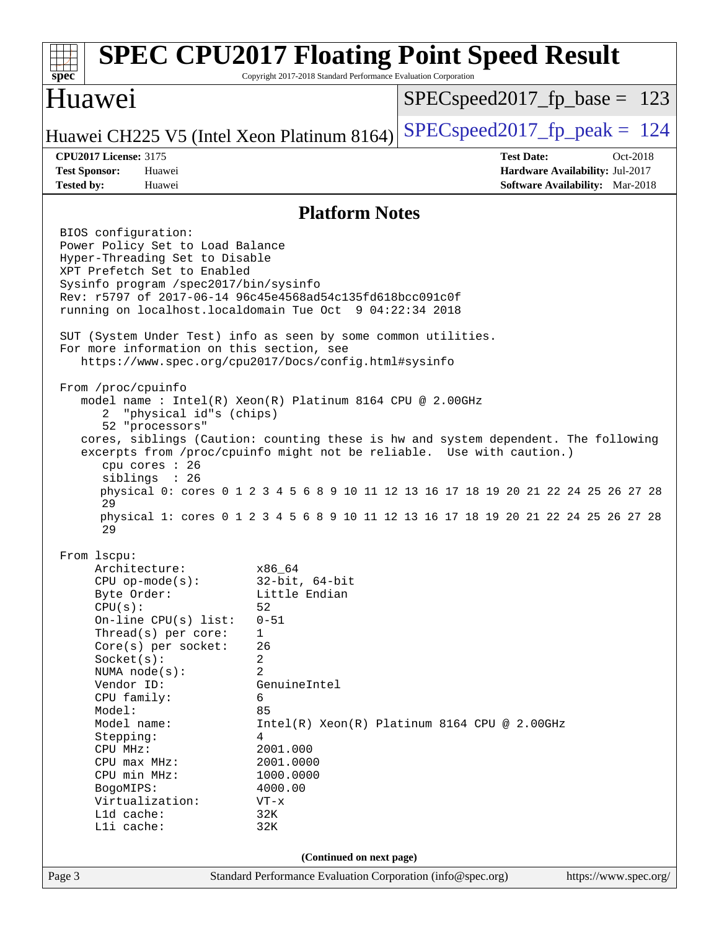| $spec^*$                                                                                                                                                                                                                                                                                                                                                                                                                                                                                                                                                                                                                                                                                                                                      | Copyright 2017-2018 Standard Performance Evaluation Corporation                                                                                                      | <b>SPEC CPU2017 Floating Point Speed Result</b>                                                                                                                                                                                                                                                                                           |
|-----------------------------------------------------------------------------------------------------------------------------------------------------------------------------------------------------------------------------------------------------------------------------------------------------------------------------------------------------------------------------------------------------------------------------------------------------------------------------------------------------------------------------------------------------------------------------------------------------------------------------------------------------------------------------------------------------------------------------------------------|----------------------------------------------------------------------------------------------------------------------------------------------------------------------|-------------------------------------------------------------------------------------------------------------------------------------------------------------------------------------------------------------------------------------------------------------------------------------------------------------------------------------------|
| Huawei                                                                                                                                                                                                                                                                                                                                                                                                                                                                                                                                                                                                                                                                                                                                        |                                                                                                                                                                      | $SPEC speed2017_f p\_base = 123$                                                                                                                                                                                                                                                                                                          |
| Huawei CH225 V5 (Intel Xeon Platinum 8164)                                                                                                                                                                                                                                                                                                                                                                                                                                                                                                                                                                                                                                                                                                    |                                                                                                                                                                      | $SPEC speed2017_fp\_peak = 124$                                                                                                                                                                                                                                                                                                           |
| <b>CPU2017 License: 3175</b><br><b>Test Sponsor:</b><br>Huawei<br><b>Tested by:</b><br>Huawei                                                                                                                                                                                                                                                                                                                                                                                                                                                                                                                                                                                                                                                 |                                                                                                                                                                      | <b>Test Date:</b><br>Oct-2018<br>Hardware Availability: Jul-2017<br><b>Software Availability:</b> Mar-2018                                                                                                                                                                                                                                |
|                                                                                                                                                                                                                                                                                                                                                                                                                                                                                                                                                                                                                                                                                                                                               | <b>Platform Notes</b>                                                                                                                                                |                                                                                                                                                                                                                                                                                                                                           |
| BIOS configuration:<br>Power Policy Set to Load Balance<br>Hyper-Threading Set to Disable<br>XPT Prefetch Set to Enabled<br>Sysinfo program /spec2017/bin/sysinfo<br>Rev: r5797 of 2017-06-14 96c45e4568ad54c135fd618bcc091c0f<br>running on localhost.localdomain Tue Oct 9 04:22:34 2018<br>SUT (System Under Test) info as seen by some common utilities.<br>For more information on this section, see<br>https://www.spec.org/cpu2017/Docs/config.html#sysinfo<br>From /proc/cpuinfo<br>model name: $Intel(R)$ Xeon $(R)$ Platinum 8164 CPU @ 2.00GHz<br>"physical id"s (chips)<br>2<br>52 "processors"<br>cpu cores : 26<br>siblings : 26<br>29<br>29<br>From 1scpu:<br>Architecture:<br>$CPU$ op-mode( $s$ ):<br>Byte Order:<br>CPU(s): | x86_64<br>$32$ -bit, $64$ -bit<br>Little Endian<br>52                                                                                                                | cores, siblings (Caution: counting these is hw and system dependent. The following<br>excerpts from /proc/cpuinfo might not be reliable. Use with caution.)<br>physical 0: cores 0 1 2 3 4 5 6 8 9 10 11 12 13 16 17 18 19 20 21 22 24 25 26 27 28<br>physical 1: cores 0 1 2 3 4 5 6 8 9 10 11 12 13 16 17 18 19 20 21 22 24 25 26 27 28 |
| On-line CPU(s) list:<br>Thread(s) per core:<br>$Core(s)$ per socket:<br>Socket(s):<br>NUMA node(s):<br>Vendor ID:<br>CPU family:<br>Model:<br>Model name:<br>Stepping:<br>CPU MHz:<br>$CPU$ max $MHz:$<br>CPU min MHz:<br>BogoMIPS:<br>Virtualization:<br>L1d cache:<br>Lli cache:                                                                                                                                                                                                                                                                                                                                                                                                                                                            | $0 - 51$<br>1<br>26<br>2<br>2<br>GenuineIntel<br>6<br>85<br>4<br>2001.000<br>2001.0000<br>1000.0000<br>4000.00<br>$VT - x$<br>32K<br>32K<br>(Continued on next page) | $Intel(R) Xeon(R) Platinum 8164 CPU @ 2.00GHz$                                                                                                                                                                                                                                                                                            |
| Page 3                                                                                                                                                                                                                                                                                                                                                                                                                                                                                                                                                                                                                                                                                                                                        | Standard Performance Evaluation Corporation (info@spec.org)                                                                                                          | https://www.spec.org/                                                                                                                                                                                                                                                                                                                     |
|                                                                                                                                                                                                                                                                                                                                                                                                                                                                                                                                                                                                                                                                                                                                               |                                                                                                                                                                      |                                                                                                                                                                                                                                                                                                                                           |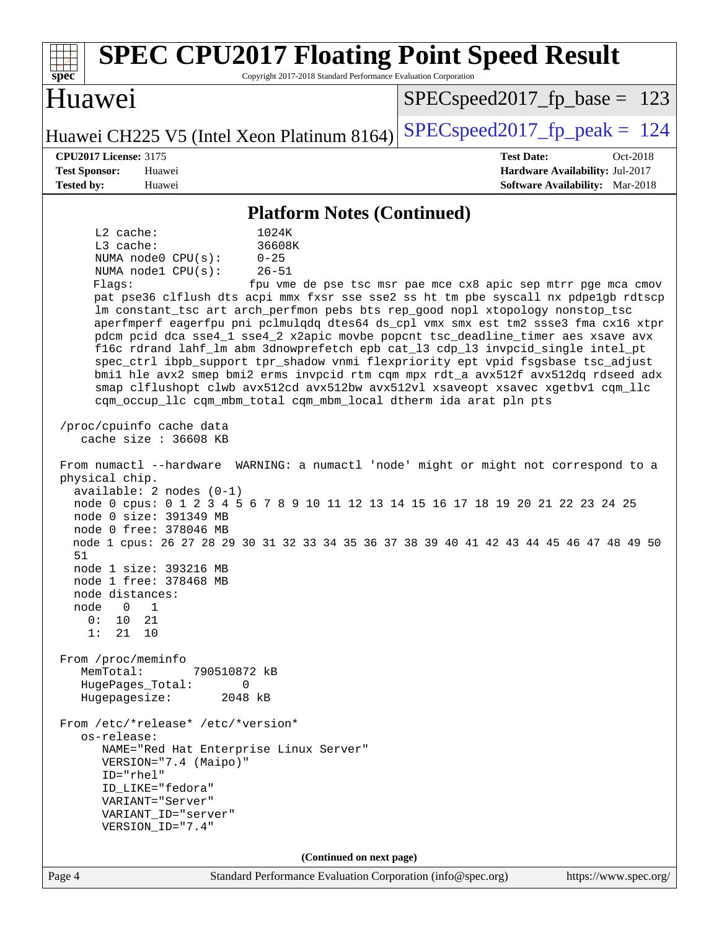| <b>SPEC CPU2017 Floating Point Speed Result</b><br>Copyright 2017-2018 Standard Performance Evaluation Corporation<br>spec <sup>®</sup>                                                                                                                                                                                                                                                                                                                                                                                                                                                                                                                                                                                                                                                                                                                                                          |                                                                                                     |
|--------------------------------------------------------------------------------------------------------------------------------------------------------------------------------------------------------------------------------------------------------------------------------------------------------------------------------------------------------------------------------------------------------------------------------------------------------------------------------------------------------------------------------------------------------------------------------------------------------------------------------------------------------------------------------------------------------------------------------------------------------------------------------------------------------------------------------------------------------------------------------------------------|-----------------------------------------------------------------------------------------------------|
| Huawei                                                                                                                                                                                                                                                                                                                                                                                                                                                                                                                                                                                                                                                                                                                                                                                                                                                                                           | $SPEC speed2017_f p\_base = 123$                                                                    |
| Huawei CH225 V5 (Intel Xeon Platinum 8164)                                                                                                                                                                                                                                                                                                                                                                                                                                                                                                                                                                                                                                                                                                                                                                                                                                                       | $SPEC speed2017_fp_peak = 124$                                                                      |
| <b>CPU2017 License: 3175</b><br><b>Test Sponsor:</b><br>Huawei<br><b>Tested by:</b><br>Huawei                                                                                                                                                                                                                                                                                                                                                                                                                                                                                                                                                                                                                                                                                                                                                                                                    | <b>Test Date:</b><br>Oct-2018<br>Hardware Availability: Jul-2017<br>Software Availability: Mar-2018 |
| <b>Platform Notes (Continued)</b>                                                                                                                                                                                                                                                                                                                                                                                                                                                                                                                                                                                                                                                                                                                                                                                                                                                                |                                                                                                     |
| L2 cache:<br>1024K<br>L3 cache:<br>36608K<br>NUMA node0 CPU(s):<br>$0 - 25$<br>NUMA node1 CPU(s):<br>$26 - 51$<br>Flagg:<br>pat pse36 clflush dts acpi mmx fxsr sse sse2 ss ht tm pbe syscall nx pdpelgb rdtscp<br>lm constant_tsc art arch_perfmon pebs bts rep_good nopl xtopology nonstop_tsc<br>aperfmperf eagerfpu pni pclmulqdq dtes64 ds_cpl vmx smx est tm2 ssse3 fma cx16 xtpr<br>pdcm pcid dca sse4_1 sse4_2 x2apic movbe popcnt tsc_deadline_timer aes xsave avx<br>f16c rdrand lahf_lm abm 3dnowprefetch epb cat_13 cdp_13 invpcid_single intel_pt<br>spec_ctrl ibpb_support tpr_shadow vnmi flexpriority ept vpid fsgsbase tsc_adjust<br>bmil hle avx2 smep bmi2 erms invpcid rtm cqm mpx rdt_a avx512f avx512dq rdseed adx<br>smap clflushopt clwb avx512cd avx512bw avx512vl xsaveopt xsavec xgetbvl cqm_llc<br>cqm_occup_llc cqm_mbm_total cqm_mbm_local dtherm ida arat pln pts | fpu vme de pse tsc msr pae mce cx8 apic sep mtrr pge mca cmov                                       |
| /proc/cpuinfo cache data<br>cache size : 36608 KB                                                                                                                                                                                                                                                                                                                                                                                                                                                                                                                                                                                                                                                                                                                                                                                                                                                |                                                                                                     |
| From numactl --hardware WARNING: a numactl 'node' might or might not correspond to a<br>physical chip.<br>$available: 2 nodes (0-1)$<br>node 0 cpus: 0 1 2 3 4 5 6 7 8 9 10 11 12 13 14 15 16 17 18 19 20 21 22 23 24 25<br>node 0 size: 391349 MB<br>node 0 free: 378046 MB<br>node 1 cpus: 26 27 28 29 30 31 32 33 34 35 36 37 38 39 40 41 42 43 44 45 46 47 48 49 50<br>51<br>node 1 size: 393216 MB<br>node 1 free: 378468 MB<br>node distances:<br>$\overline{0}$<br>node<br>1<br>10<br>21<br>0:<br>1:<br>21<br>10                                                                                                                                                                                                                                                                                                                                                                          |                                                                                                     |
| From /proc/meminfo<br>MemTotal:<br>790510872 kB<br>HugePages_Total:<br>0<br>Hugepagesize:<br>2048 kB                                                                                                                                                                                                                                                                                                                                                                                                                                                                                                                                                                                                                                                                                                                                                                                             |                                                                                                     |
| From /etc/*release* /etc/*version*<br>os-release:<br>NAME="Red Hat Enterprise Linux Server"<br>VERSION="7.4 (Maipo)"<br>ID="rhel"<br>ID LIKE="fedora"<br>VARIANT="Server"<br>VARIANT_ID="server"<br>VERSION_ID="7.4"                                                                                                                                                                                                                                                                                                                                                                                                                                                                                                                                                                                                                                                                             |                                                                                                     |
| (Continued on next page)<br>Standard Performance Evaluation Corporation (info@spec.org)<br>Page 4                                                                                                                                                                                                                                                                                                                                                                                                                                                                                                                                                                                                                                                                                                                                                                                                | https://www.spec.org/                                                                               |
|                                                                                                                                                                                                                                                                                                                                                                                                                                                                                                                                                                                                                                                                                                                                                                                                                                                                                                  |                                                                                                     |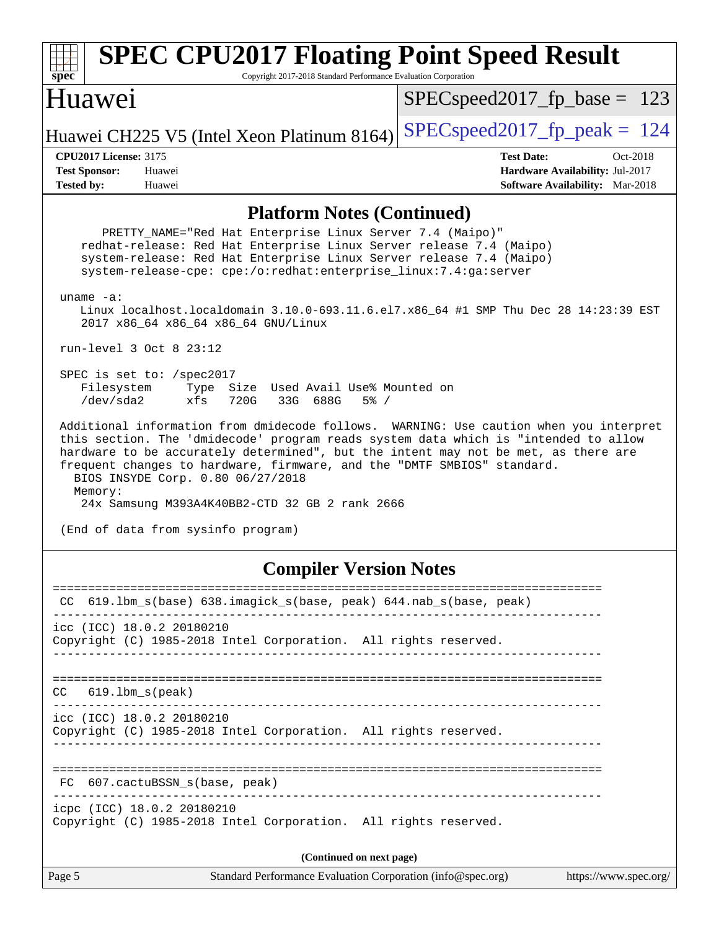#### **[spec](http://www.spec.org/) [SPEC CPU2017 Floating Point Speed Result](http://www.spec.org/auto/cpu2017/Docs/result-fields.html#SPECCPU2017FloatingPointSpeedResult)** Copyright 2017-2018 Standard Performance Evaluation Corporation Huawei Huawei CH225 V5 (Intel Xeon Platinum 8164) [SPECspeed2017\\_fp\\_peak =](http://www.spec.org/auto/cpu2017/Docs/result-fields.html#SPECspeed2017fppeak)  $124$ SPECspeed2017 fp base =  $123$ **[CPU2017 License:](http://www.spec.org/auto/cpu2017/Docs/result-fields.html#CPU2017License)** 3175 **[Test Date:](http://www.spec.org/auto/cpu2017/Docs/result-fields.html#TestDate)** Oct-2018 **[Test Sponsor:](http://www.spec.org/auto/cpu2017/Docs/result-fields.html#TestSponsor)** Huawei **[Hardware Availability:](http://www.spec.org/auto/cpu2017/Docs/result-fields.html#HardwareAvailability)** Jul-2017 **[Tested by:](http://www.spec.org/auto/cpu2017/Docs/result-fields.html#Testedby)** Huawei **[Software Availability:](http://www.spec.org/auto/cpu2017/Docs/result-fields.html#SoftwareAvailability)** Mar-2018 **[Platform Notes \(Continued\)](http://www.spec.org/auto/cpu2017/Docs/result-fields.html#PlatformNotes)** PRETTY\_NAME="Red Hat Enterprise Linux Server 7.4 (Maipo)" redhat-release: Red Hat Enterprise Linux Server release 7.4 (Maipo) system-release: Red Hat Enterprise Linux Server release 7.4 (Maipo) system-release-cpe: cpe:/o:redhat:enterprise\_linux:7.4:ga:server uname -a: Linux localhost.localdomain 3.10.0-693.11.6.el7.x86\_64 #1 SMP Thu Dec 28 14:23:39 EST 2017 x86\_64 x86\_64 x86\_64 GNU/Linux run-level 3 Oct 8 23:12 SPEC is set to: /spec2017 Filesystem Type Size Used Avail Use% Mounted on /dev/sda2 xfs 720G 33G 688G 5% / Additional information from dmidecode follows. WARNING: Use caution when you interpret this section. The 'dmidecode' program reads system data which is "intended to allow hardware to be accurately determined", but the intent may not be met, as there are frequent changes to hardware, firmware, and the "DMTF SMBIOS" standard. BIOS INSYDE Corp. 0.80 06/27/2018 Memory: 24x Samsung M393A4K40BB2-CTD 32 GB 2 rank 2666 (End of data from sysinfo program) **[Compiler Version Notes](http://www.spec.org/auto/cpu2017/Docs/result-fields.html#CompilerVersionNotes)** ============================================================================== CC 619.lbm\_s(base) 638.imagick\_s(base, peak) 644.nab\_s(base, peak) ----------------------------------------------------------------------------- icc (ICC) 18.0.2 20180210 Copyright (C) 1985-2018 Intel Corporation. All rights reserved. ------------------------------------------------------------------------------ ============================================================================== CC 619.lbm\_s(peak) ----------------------------------------------------------------------------- icc (ICC) 18.0.2 20180210 Copyright (C) 1985-2018 Intel Corporation. All rights reserved. ------------------------------------------------------------------------------ ============================================================================== FC 607.cactuBSSN s(base, peak) ----------------------------------------------------------------------------- icpc (ICC) 18.0.2 20180210 Copyright (C) 1985-2018 Intel Corporation. All rights reserved. **(Continued on next page)**

Page 5 Standard Performance Evaluation Corporation [\(info@spec.org\)](mailto:info@spec.org) <https://www.spec.org/>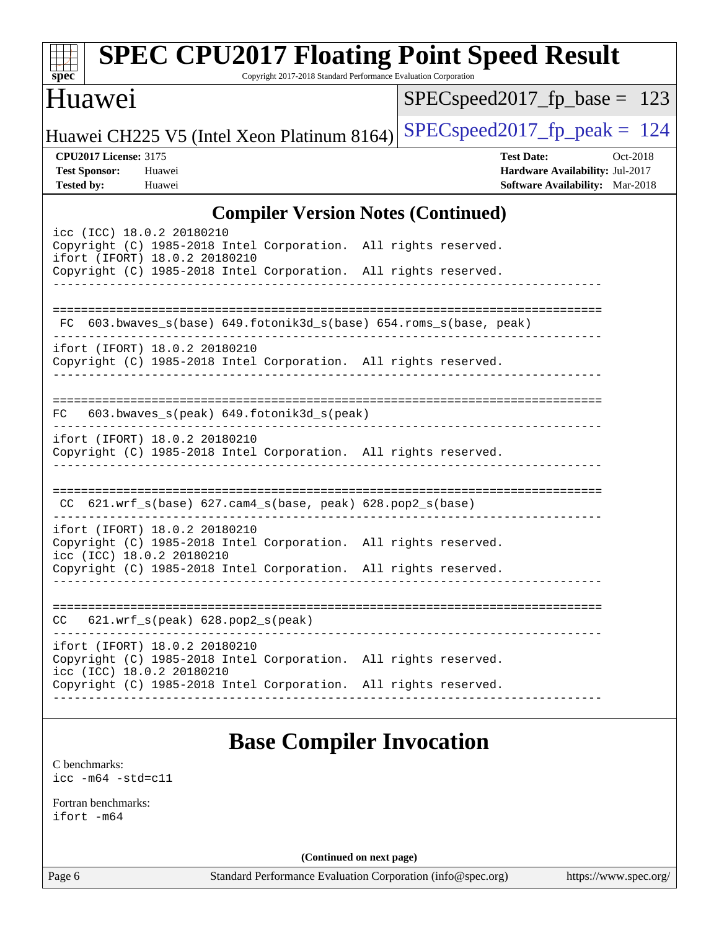| <b>SPEC CPU2017 Floating Point Speed Result</b><br>Copyright 2017-2018 Standard Performance Evaluation Corporation<br>spec <sup>®</sup>                                                          |                                                                                                     |  |  |  |
|--------------------------------------------------------------------------------------------------------------------------------------------------------------------------------------------------|-----------------------------------------------------------------------------------------------------|--|--|--|
| Huawei                                                                                                                                                                                           | $SPEC speed2017_fp\_base = 123$                                                                     |  |  |  |
| Huawei CH225 V5 (Intel Xeon Platinum 8164)                                                                                                                                                       | $SPEC speed2017_fp\_peak = 124$                                                                     |  |  |  |
| <b>CPU2017 License: 3175</b><br><b>Test Sponsor:</b><br>Huawei<br><b>Tested by:</b><br>Huawei                                                                                                    | <b>Test Date:</b><br>Oct-2018<br>Hardware Availability: Jul-2017<br>Software Availability: Mar-2018 |  |  |  |
| <b>Compiler Version Notes (Continued)</b>                                                                                                                                                        |                                                                                                     |  |  |  |
| icc (ICC) 18.0.2 20180210<br>Copyright (C) 1985-2018 Intel Corporation. All rights reserved.<br>ifort (IFORT) 18.0.2 20180210<br>Copyright (C) 1985-2018 Intel Corporation. All rights reserved. |                                                                                                     |  |  |  |
| FC 603.bwaves_s(base) 649.fotonik3d_s(base) 654.roms_s(base, peak)                                                                                                                               |                                                                                                     |  |  |  |
| ifort (IFORT) 18.0.2 20180210<br>Copyright (C) 1985-2018 Intel Corporation. All rights reserved.                                                                                                 |                                                                                                     |  |  |  |
| 603.bwaves_s(peak) 649.fotonik3d_s(peak)<br>FC.                                                                                                                                                  |                                                                                                     |  |  |  |
| ifort (IFORT) 18.0.2 20180210<br>Copyright (C) 1985-2018 Intel Corporation. All rights reserved.                                                                                                 |                                                                                                     |  |  |  |
| $CC$ 621.wrf_s(base) 627.cam4_s(base, peak) 628.pop2_s(base)                                                                                                                                     |                                                                                                     |  |  |  |
| ifort (IFORT) 18.0.2 20180210<br>Copyright (C) 1985-2018 Intel Corporation. All rights reserved.<br>icc (ICC) 18.0.2 20180210<br>Copyright (C) 1985-2018 Intel Corporation. All rights reserved. |                                                                                                     |  |  |  |
|                                                                                                                                                                                                  |                                                                                                     |  |  |  |
| $621.wrf_s(peak) 628.pop2_s(peak)$<br>CC                                                                                                                                                         |                                                                                                     |  |  |  |
| ifort (IFORT) 18.0.2 20180210<br>Copyright (C) 1985-2018 Intel Corporation. All rights reserved.<br>icc (ICC) 18.0.2 20180210                                                                    |                                                                                                     |  |  |  |
| Copyright (C) 1985-2018 Intel Corporation. All rights reserved.                                                                                                                                  |                                                                                                     |  |  |  |
| <b>Base Compiler Invocation</b>                                                                                                                                                                  |                                                                                                     |  |  |  |
| C benchmarks:<br>$\text{icc}$ -m64 -std=c11                                                                                                                                                      |                                                                                                     |  |  |  |
| Fortran benchmarks:<br>ifort -m64                                                                                                                                                                |                                                                                                     |  |  |  |
| (Continued on next page)                                                                                                                                                                         |                                                                                                     |  |  |  |
| Standard Performance Evaluation Corporation (info@spec.org)<br>Page 6                                                                                                                            | https://www.spec.org/                                                                               |  |  |  |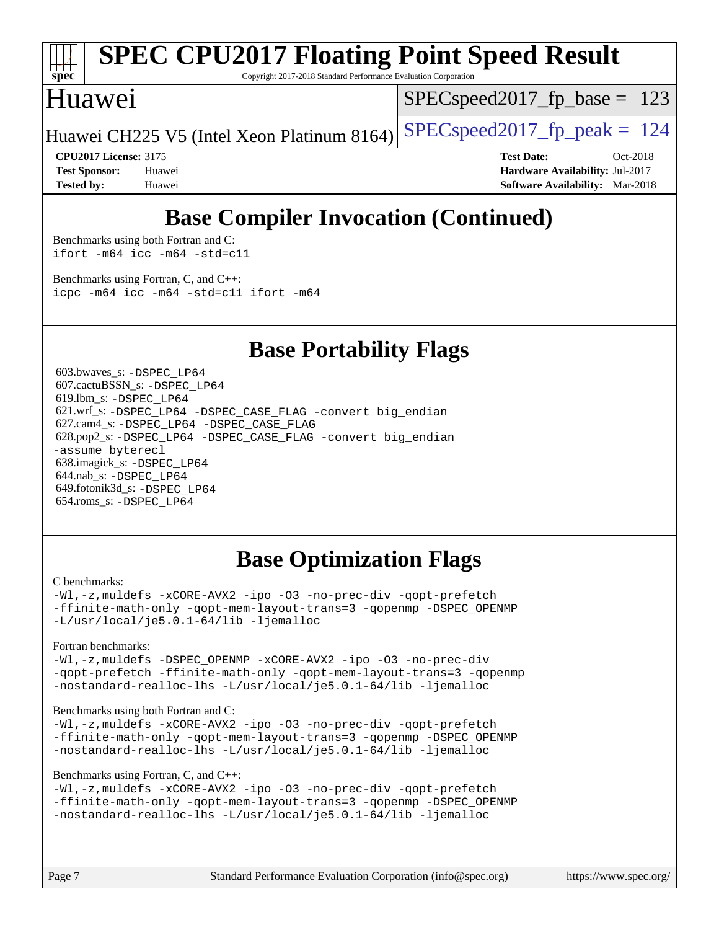

# **[SPEC CPU2017 Floating Point Speed Result](http://www.spec.org/auto/cpu2017/Docs/result-fields.html#SPECCPU2017FloatingPointSpeedResult)**

Copyright 2017-2018 Standard Performance Evaluation Corporation

### Huawei

SPECspeed2017 fp base =  $123$ 

Huawei CH225 V5 (Intel Xeon Platinum 8164) SPECspeed2017\_fp\_peak  $= 124$ 

**[CPU2017 License:](http://www.spec.org/auto/cpu2017/Docs/result-fields.html#CPU2017License)** 3175 **[Test Date:](http://www.spec.org/auto/cpu2017/Docs/result-fields.html#TestDate)** Oct-2018 **[Test Sponsor:](http://www.spec.org/auto/cpu2017/Docs/result-fields.html#TestSponsor)** Huawei **[Hardware Availability:](http://www.spec.org/auto/cpu2017/Docs/result-fields.html#HardwareAvailability)** Jul-2017 **[Tested by:](http://www.spec.org/auto/cpu2017/Docs/result-fields.html#Testedby)** Huawei **[Software Availability:](http://www.spec.org/auto/cpu2017/Docs/result-fields.html#SoftwareAvailability)** Mar-2018

## **[Base Compiler Invocation \(Continued\)](http://www.spec.org/auto/cpu2017/Docs/result-fields.html#BaseCompilerInvocation)**

[Benchmarks using both Fortran and C](http://www.spec.org/auto/cpu2017/Docs/result-fields.html#BenchmarksusingbothFortranandC): [ifort -m64](http://www.spec.org/cpu2017/results/res2018q4/cpu2017-20181011-09154.flags.html#user_CC_FCbase_intel_ifort_64bit_24f2bb282fbaeffd6157abe4f878425411749daecae9a33200eee2bee2fe76f3b89351d69a8130dd5949958ce389cf37ff59a95e7a40d588e8d3a57e0c3fd751) [icc -m64 -std=c11](http://www.spec.org/cpu2017/results/res2018q4/cpu2017-20181011-09154.flags.html#user_CC_FCbase_intel_icc_64bit_c11_33ee0cdaae7deeeab2a9725423ba97205ce30f63b9926c2519791662299b76a0318f32ddfffdc46587804de3178b4f9328c46fa7c2b0cd779d7a61945c91cd35)

[Benchmarks using Fortran, C, and C++:](http://www.spec.org/auto/cpu2017/Docs/result-fields.html#BenchmarksusingFortranCandCXX) [icpc -m64](http://www.spec.org/cpu2017/results/res2018q4/cpu2017-20181011-09154.flags.html#user_CC_CXX_FCbase_intel_icpc_64bit_4ecb2543ae3f1412ef961e0650ca070fec7b7afdcd6ed48761b84423119d1bf6bdf5cad15b44d48e7256388bc77273b966e5eb805aefd121eb22e9299b2ec9d9) [icc -m64 -std=c11](http://www.spec.org/cpu2017/results/res2018q4/cpu2017-20181011-09154.flags.html#user_CC_CXX_FCbase_intel_icc_64bit_c11_33ee0cdaae7deeeab2a9725423ba97205ce30f63b9926c2519791662299b76a0318f32ddfffdc46587804de3178b4f9328c46fa7c2b0cd779d7a61945c91cd35) [ifort -m64](http://www.spec.org/cpu2017/results/res2018q4/cpu2017-20181011-09154.flags.html#user_CC_CXX_FCbase_intel_ifort_64bit_24f2bb282fbaeffd6157abe4f878425411749daecae9a33200eee2bee2fe76f3b89351d69a8130dd5949958ce389cf37ff59a95e7a40d588e8d3a57e0c3fd751)

### **[Base Portability Flags](http://www.spec.org/auto/cpu2017/Docs/result-fields.html#BasePortabilityFlags)**

 603.bwaves\_s: [-DSPEC\\_LP64](http://www.spec.org/cpu2017/results/res2018q4/cpu2017-20181011-09154.flags.html#suite_basePORTABILITY603_bwaves_s_DSPEC_LP64) 607.cactuBSSN\_s: [-DSPEC\\_LP64](http://www.spec.org/cpu2017/results/res2018q4/cpu2017-20181011-09154.flags.html#suite_basePORTABILITY607_cactuBSSN_s_DSPEC_LP64) 619.lbm\_s: [-DSPEC\\_LP64](http://www.spec.org/cpu2017/results/res2018q4/cpu2017-20181011-09154.flags.html#suite_basePORTABILITY619_lbm_s_DSPEC_LP64) 621.wrf\_s: [-DSPEC\\_LP64](http://www.spec.org/cpu2017/results/res2018q4/cpu2017-20181011-09154.flags.html#suite_basePORTABILITY621_wrf_s_DSPEC_LP64) [-DSPEC\\_CASE\\_FLAG](http://www.spec.org/cpu2017/results/res2018q4/cpu2017-20181011-09154.flags.html#b621.wrf_s_baseCPORTABILITY_DSPEC_CASE_FLAG) [-convert big\\_endian](http://www.spec.org/cpu2017/results/res2018q4/cpu2017-20181011-09154.flags.html#user_baseFPORTABILITY621_wrf_s_convert_big_endian_c3194028bc08c63ac5d04de18c48ce6d347e4e562e8892b8bdbdc0214820426deb8554edfa529a3fb25a586e65a3d812c835984020483e7e73212c4d31a38223) 627.cam4\_s: [-DSPEC\\_LP64](http://www.spec.org/cpu2017/results/res2018q4/cpu2017-20181011-09154.flags.html#suite_basePORTABILITY627_cam4_s_DSPEC_LP64) [-DSPEC\\_CASE\\_FLAG](http://www.spec.org/cpu2017/results/res2018q4/cpu2017-20181011-09154.flags.html#b627.cam4_s_baseCPORTABILITY_DSPEC_CASE_FLAG) 628.pop2\_s: [-DSPEC\\_LP64](http://www.spec.org/cpu2017/results/res2018q4/cpu2017-20181011-09154.flags.html#suite_basePORTABILITY628_pop2_s_DSPEC_LP64) [-DSPEC\\_CASE\\_FLAG](http://www.spec.org/cpu2017/results/res2018q4/cpu2017-20181011-09154.flags.html#b628.pop2_s_baseCPORTABILITY_DSPEC_CASE_FLAG) [-convert big\\_endian](http://www.spec.org/cpu2017/results/res2018q4/cpu2017-20181011-09154.flags.html#user_baseFPORTABILITY628_pop2_s_convert_big_endian_c3194028bc08c63ac5d04de18c48ce6d347e4e562e8892b8bdbdc0214820426deb8554edfa529a3fb25a586e65a3d812c835984020483e7e73212c4d31a38223) [-assume byterecl](http://www.spec.org/cpu2017/results/res2018q4/cpu2017-20181011-09154.flags.html#user_baseFPORTABILITY628_pop2_s_assume_byterecl_7e47d18b9513cf18525430bbf0f2177aa9bf368bc7a059c09b2c06a34b53bd3447c950d3f8d6c70e3faf3a05c8557d66a5798b567902e8849adc142926523472) 638.imagick\_s: [-DSPEC\\_LP64](http://www.spec.org/cpu2017/results/res2018q4/cpu2017-20181011-09154.flags.html#suite_basePORTABILITY638_imagick_s_DSPEC_LP64) 644.nab\_s: [-DSPEC\\_LP64](http://www.spec.org/cpu2017/results/res2018q4/cpu2017-20181011-09154.flags.html#suite_basePORTABILITY644_nab_s_DSPEC_LP64) 649.fotonik3d\_s: [-DSPEC\\_LP64](http://www.spec.org/cpu2017/results/res2018q4/cpu2017-20181011-09154.flags.html#suite_basePORTABILITY649_fotonik3d_s_DSPEC_LP64) 654.roms\_s: [-DSPEC\\_LP64](http://www.spec.org/cpu2017/results/res2018q4/cpu2017-20181011-09154.flags.html#suite_basePORTABILITY654_roms_s_DSPEC_LP64)

## **[Base Optimization Flags](http://www.spec.org/auto/cpu2017/Docs/result-fields.html#BaseOptimizationFlags)**

#### [C benchmarks](http://www.spec.org/auto/cpu2017/Docs/result-fields.html#Cbenchmarks):

[-Wl,-z,muldefs](http://www.spec.org/cpu2017/results/res2018q4/cpu2017-20181011-09154.flags.html#user_CCbase_link_force_multiple1_b4cbdb97b34bdee9ceefcfe54f4c8ea74255f0b02a4b23e853cdb0e18eb4525ac79b5a88067c842dd0ee6996c24547a27a4b99331201badda8798ef8a743f577) [-xCORE-AVX2](http://www.spec.org/cpu2017/results/res2018q4/cpu2017-20181011-09154.flags.html#user_CCbase_f-xCORE-AVX2) [-ipo](http://www.spec.org/cpu2017/results/res2018q4/cpu2017-20181011-09154.flags.html#user_CCbase_f-ipo) [-O3](http://www.spec.org/cpu2017/results/res2018q4/cpu2017-20181011-09154.flags.html#user_CCbase_f-O3) [-no-prec-div](http://www.spec.org/cpu2017/results/res2018q4/cpu2017-20181011-09154.flags.html#user_CCbase_f-no-prec-div) [-qopt-prefetch](http://www.spec.org/cpu2017/results/res2018q4/cpu2017-20181011-09154.flags.html#user_CCbase_f-qopt-prefetch) [-ffinite-math-only](http://www.spec.org/cpu2017/results/res2018q4/cpu2017-20181011-09154.flags.html#user_CCbase_f_finite_math_only_cb91587bd2077682c4b38af759c288ed7c732db004271a9512da14a4f8007909a5f1427ecbf1a0fb78ff2a814402c6114ac565ca162485bbcae155b5e4258871) [-qopt-mem-layout-trans=3](http://www.spec.org/cpu2017/results/res2018q4/cpu2017-20181011-09154.flags.html#user_CCbase_f-qopt-mem-layout-trans_de80db37974c74b1f0e20d883f0b675c88c3b01e9d123adea9b28688d64333345fb62bc4a798493513fdb68f60282f9a726aa07f478b2f7113531aecce732043) [-qopenmp](http://www.spec.org/cpu2017/results/res2018q4/cpu2017-20181011-09154.flags.html#user_CCbase_qopenmp_16be0c44f24f464004c6784a7acb94aca937f053568ce72f94b139a11c7c168634a55f6653758ddd83bcf7b8463e8028bb0b48b77bcddc6b78d5d95bb1df2967) [-DSPEC\\_OPENMP](http://www.spec.org/cpu2017/results/res2018q4/cpu2017-20181011-09154.flags.html#suite_CCbase_DSPEC_OPENMP) [-L/usr/local/je5.0.1-64/lib](http://www.spec.org/cpu2017/results/res2018q4/cpu2017-20181011-09154.flags.html#user_CCbase_jemalloc_link_path64_4b10a636b7bce113509b17f3bd0d6226c5fb2346b9178c2d0232c14f04ab830f976640479e5c33dc2bcbbdad86ecfb6634cbbd4418746f06f368b512fced5394) [-ljemalloc](http://www.spec.org/cpu2017/results/res2018q4/cpu2017-20181011-09154.flags.html#user_CCbase_jemalloc_link_lib_d1249b907c500fa1c0672f44f562e3d0f79738ae9e3c4a9c376d49f265a04b9c99b167ecedbf6711b3085be911c67ff61f150a17b3472be731631ba4d0471706)

[Fortran benchmarks](http://www.spec.org/auto/cpu2017/Docs/result-fields.html#Fortranbenchmarks):

[-Wl,-z,muldefs](http://www.spec.org/cpu2017/results/res2018q4/cpu2017-20181011-09154.flags.html#user_FCbase_link_force_multiple1_b4cbdb97b34bdee9ceefcfe54f4c8ea74255f0b02a4b23e853cdb0e18eb4525ac79b5a88067c842dd0ee6996c24547a27a4b99331201badda8798ef8a743f577) [-DSPEC\\_OPENMP](http://www.spec.org/cpu2017/results/res2018q4/cpu2017-20181011-09154.flags.html#suite_FCbase_DSPEC_OPENMP) [-xCORE-AVX2](http://www.spec.org/cpu2017/results/res2018q4/cpu2017-20181011-09154.flags.html#user_FCbase_f-xCORE-AVX2) [-ipo](http://www.spec.org/cpu2017/results/res2018q4/cpu2017-20181011-09154.flags.html#user_FCbase_f-ipo) [-O3](http://www.spec.org/cpu2017/results/res2018q4/cpu2017-20181011-09154.flags.html#user_FCbase_f-O3) [-no-prec-div](http://www.spec.org/cpu2017/results/res2018q4/cpu2017-20181011-09154.flags.html#user_FCbase_f-no-prec-div) [-qopt-prefetch](http://www.spec.org/cpu2017/results/res2018q4/cpu2017-20181011-09154.flags.html#user_FCbase_f-qopt-prefetch) [-ffinite-math-only](http://www.spec.org/cpu2017/results/res2018q4/cpu2017-20181011-09154.flags.html#user_FCbase_f_finite_math_only_cb91587bd2077682c4b38af759c288ed7c732db004271a9512da14a4f8007909a5f1427ecbf1a0fb78ff2a814402c6114ac565ca162485bbcae155b5e4258871) [-qopt-mem-layout-trans=3](http://www.spec.org/cpu2017/results/res2018q4/cpu2017-20181011-09154.flags.html#user_FCbase_f-qopt-mem-layout-trans_de80db37974c74b1f0e20d883f0b675c88c3b01e9d123adea9b28688d64333345fb62bc4a798493513fdb68f60282f9a726aa07f478b2f7113531aecce732043) [-qopenmp](http://www.spec.org/cpu2017/results/res2018q4/cpu2017-20181011-09154.flags.html#user_FCbase_qopenmp_16be0c44f24f464004c6784a7acb94aca937f053568ce72f94b139a11c7c168634a55f6653758ddd83bcf7b8463e8028bb0b48b77bcddc6b78d5d95bb1df2967) [-nostandard-realloc-lhs](http://www.spec.org/cpu2017/results/res2018q4/cpu2017-20181011-09154.flags.html#user_FCbase_f_2003_std_realloc_82b4557e90729c0f113870c07e44d33d6f5a304b4f63d4c15d2d0f1fab99f5daaed73bdb9275d9ae411527f28b936061aa8b9c8f2d63842963b95c9dd6426b8a) [-L/usr/local/je5.0.1-64/lib](http://www.spec.org/cpu2017/results/res2018q4/cpu2017-20181011-09154.flags.html#user_FCbase_jemalloc_link_path64_4b10a636b7bce113509b17f3bd0d6226c5fb2346b9178c2d0232c14f04ab830f976640479e5c33dc2bcbbdad86ecfb6634cbbd4418746f06f368b512fced5394) [-ljemalloc](http://www.spec.org/cpu2017/results/res2018q4/cpu2017-20181011-09154.flags.html#user_FCbase_jemalloc_link_lib_d1249b907c500fa1c0672f44f562e3d0f79738ae9e3c4a9c376d49f265a04b9c99b167ecedbf6711b3085be911c67ff61f150a17b3472be731631ba4d0471706)

#### [Benchmarks using both Fortran and C](http://www.spec.org/auto/cpu2017/Docs/result-fields.html#BenchmarksusingbothFortranandC):

[-Wl,-z,muldefs](http://www.spec.org/cpu2017/results/res2018q4/cpu2017-20181011-09154.flags.html#user_CC_FCbase_link_force_multiple1_b4cbdb97b34bdee9ceefcfe54f4c8ea74255f0b02a4b23e853cdb0e18eb4525ac79b5a88067c842dd0ee6996c24547a27a4b99331201badda8798ef8a743f577) [-xCORE-AVX2](http://www.spec.org/cpu2017/results/res2018q4/cpu2017-20181011-09154.flags.html#user_CC_FCbase_f-xCORE-AVX2) [-ipo](http://www.spec.org/cpu2017/results/res2018q4/cpu2017-20181011-09154.flags.html#user_CC_FCbase_f-ipo) [-O3](http://www.spec.org/cpu2017/results/res2018q4/cpu2017-20181011-09154.flags.html#user_CC_FCbase_f-O3) [-no-prec-div](http://www.spec.org/cpu2017/results/res2018q4/cpu2017-20181011-09154.flags.html#user_CC_FCbase_f-no-prec-div) [-qopt-prefetch](http://www.spec.org/cpu2017/results/res2018q4/cpu2017-20181011-09154.flags.html#user_CC_FCbase_f-qopt-prefetch) [-ffinite-math-only](http://www.spec.org/cpu2017/results/res2018q4/cpu2017-20181011-09154.flags.html#user_CC_FCbase_f_finite_math_only_cb91587bd2077682c4b38af759c288ed7c732db004271a9512da14a4f8007909a5f1427ecbf1a0fb78ff2a814402c6114ac565ca162485bbcae155b5e4258871) [-qopt-mem-layout-trans=3](http://www.spec.org/cpu2017/results/res2018q4/cpu2017-20181011-09154.flags.html#user_CC_FCbase_f-qopt-mem-layout-trans_de80db37974c74b1f0e20d883f0b675c88c3b01e9d123adea9b28688d64333345fb62bc4a798493513fdb68f60282f9a726aa07f478b2f7113531aecce732043) [-qopenmp](http://www.spec.org/cpu2017/results/res2018q4/cpu2017-20181011-09154.flags.html#user_CC_FCbase_qopenmp_16be0c44f24f464004c6784a7acb94aca937f053568ce72f94b139a11c7c168634a55f6653758ddd83bcf7b8463e8028bb0b48b77bcddc6b78d5d95bb1df2967) [-DSPEC\\_OPENMP](http://www.spec.org/cpu2017/results/res2018q4/cpu2017-20181011-09154.flags.html#suite_CC_FCbase_DSPEC_OPENMP) [-nostandard-realloc-lhs](http://www.spec.org/cpu2017/results/res2018q4/cpu2017-20181011-09154.flags.html#user_CC_FCbase_f_2003_std_realloc_82b4557e90729c0f113870c07e44d33d6f5a304b4f63d4c15d2d0f1fab99f5daaed73bdb9275d9ae411527f28b936061aa8b9c8f2d63842963b95c9dd6426b8a) [-L/usr/local/je5.0.1-64/lib](http://www.spec.org/cpu2017/results/res2018q4/cpu2017-20181011-09154.flags.html#user_CC_FCbase_jemalloc_link_path64_4b10a636b7bce113509b17f3bd0d6226c5fb2346b9178c2d0232c14f04ab830f976640479e5c33dc2bcbbdad86ecfb6634cbbd4418746f06f368b512fced5394) [-ljemalloc](http://www.spec.org/cpu2017/results/res2018q4/cpu2017-20181011-09154.flags.html#user_CC_FCbase_jemalloc_link_lib_d1249b907c500fa1c0672f44f562e3d0f79738ae9e3c4a9c376d49f265a04b9c99b167ecedbf6711b3085be911c67ff61f150a17b3472be731631ba4d0471706)

#### [Benchmarks using Fortran, C, and C++:](http://www.spec.org/auto/cpu2017/Docs/result-fields.html#BenchmarksusingFortranCandCXX)

```
-Wl,-z,muldefs -xCORE-AVX2 -ipo -O3 -no-prec-div -qopt-prefetch
-ffinite-math-only -qopt-mem-layout-trans=3 -qopenmp -DSPEC_OPENMP
-nostandard-realloc-lhs -L/usr/local/je5.0.1-64/lib -ljemalloc
```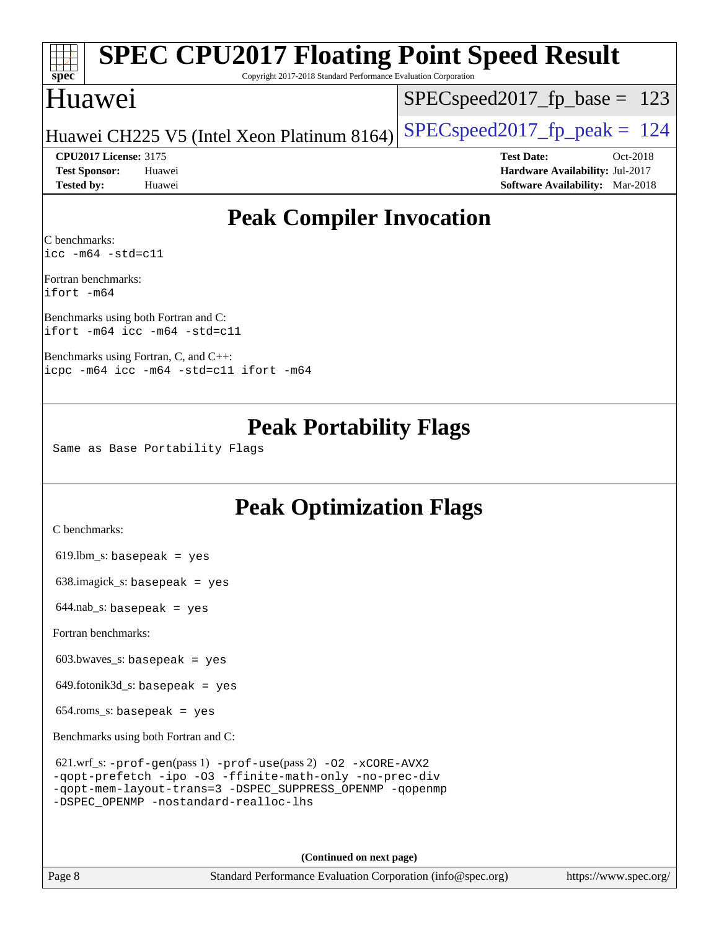|                                   | <b>SPEC CPU2017 Floating Point Speed Result</b>                 |                                        |  |  |  |  |
|-----------------------------------|-----------------------------------------------------------------|----------------------------------------|--|--|--|--|
| $Spec^*$                          | Copyright 2017-2018 Standard Performance Evaluation Corporation |                                        |  |  |  |  |
| Huawei                            |                                                                 | $SPEC speed2017_f p\_base = 123$       |  |  |  |  |
|                                   | Huawei CH225 V5 (Intel Xeon Platinum 8164)                      | $SPEC speed2017_fp_peak = 124$         |  |  |  |  |
| <b>CPU2017 License: 3175</b>      |                                                                 | <b>Test Date:</b><br>Oct-2018          |  |  |  |  |
| <b>Test Sponsor:</b>              | Huawei                                                          | Hardware Availability: Jul-2017        |  |  |  |  |
| <b>Tested by:</b>                 | Huawei                                                          | <b>Software Availability:</b> Mar-2018 |  |  |  |  |
| C benchmarks:                     | <b>Peak Compiler Invocation</b>                                 |                                        |  |  |  |  |
| $\text{icc}$ -m64 -std=c11        |                                                                 |                                        |  |  |  |  |
| Fortran benchmarks:<br>ifort -m64 |                                                                 |                                        |  |  |  |  |

[Benchmarks using both Fortran and C](http://www.spec.org/auto/cpu2017/Docs/result-fields.html#BenchmarksusingbothFortranandC): [ifort -m64](http://www.spec.org/cpu2017/results/res2018q4/cpu2017-20181011-09154.flags.html#user_CC_FCpeak_intel_ifort_64bit_24f2bb282fbaeffd6157abe4f878425411749daecae9a33200eee2bee2fe76f3b89351d69a8130dd5949958ce389cf37ff59a95e7a40d588e8d3a57e0c3fd751) [icc -m64 -std=c11](http://www.spec.org/cpu2017/results/res2018q4/cpu2017-20181011-09154.flags.html#user_CC_FCpeak_intel_icc_64bit_c11_33ee0cdaae7deeeab2a9725423ba97205ce30f63b9926c2519791662299b76a0318f32ddfffdc46587804de3178b4f9328c46fa7c2b0cd779d7a61945c91cd35)

[Benchmarks using Fortran, C, and C++](http://www.spec.org/auto/cpu2017/Docs/result-fields.html#BenchmarksusingFortranCandCXX): [icpc -m64](http://www.spec.org/cpu2017/results/res2018q4/cpu2017-20181011-09154.flags.html#user_CC_CXX_FCpeak_intel_icpc_64bit_4ecb2543ae3f1412ef961e0650ca070fec7b7afdcd6ed48761b84423119d1bf6bdf5cad15b44d48e7256388bc77273b966e5eb805aefd121eb22e9299b2ec9d9) [icc -m64 -std=c11](http://www.spec.org/cpu2017/results/res2018q4/cpu2017-20181011-09154.flags.html#user_CC_CXX_FCpeak_intel_icc_64bit_c11_33ee0cdaae7deeeab2a9725423ba97205ce30f63b9926c2519791662299b76a0318f32ddfffdc46587804de3178b4f9328c46fa7c2b0cd779d7a61945c91cd35) [ifort -m64](http://www.spec.org/cpu2017/results/res2018q4/cpu2017-20181011-09154.flags.html#user_CC_CXX_FCpeak_intel_ifort_64bit_24f2bb282fbaeffd6157abe4f878425411749daecae9a33200eee2bee2fe76f3b89351d69a8130dd5949958ce389cf37ff59a95e7a40d588e8d3a57e0c3fd751)

### **[Peak Portability Flags](http://www.spec.org/auto/cpu2017/Docs/result-fields.html#PeakPortabilityFlags)**

Same as Base Portability Flags

## **[Peak Optimization Flags](http://www.spec.org/auto/cpu2017/Docs/result-fields.html#PeakOptimizationFlags)**

[C benchmarks](http://www.spec.org/auto/cpu2017/Docs/result-fields.html#Cbenchmarks):

619.lbm\_s: basepeak = yes

638.imagick\_s: basepeak = yes

644.nab\_s: basepeak = yes

[Fortran benchmarks](http://www.spec.org/auto/cpu2017/Docs/result-fields.html#Fortranbenchmarks):

603.bwaves\_s: basepeak = yes

649.fotonik3d\_s: basepeak = yes

 $654$ .roms\_s: basepeak = yes

[Benchmarks using both Fortran and C](http://www.spec.org/auto/cpu2017/Docs/result-fields.html#BenchmarksusingbothFortranandC):

| $621.wrf$ _s: -prof-qen(pass 1) -prof-use(pass 2) -02 -xCORE-AVX2 |
|-------------------------------------------------------------------|
| -gopt-prefetch -ipo -03 -ffinite-math-only -no-prec-div           |
| -gopt-mem-layout-trans=3 -DSPEC SUPPRESS OPENMP -gopenmp          |
| -DSPEC OPENMP -nostandard-realloc-lhs                             |

**(Continued on next page)**

Page 8 Standard Performance Evaluation Corporation [\(info@spec.org\)](mailto:info@spec.org) <https://www.spec.org/>